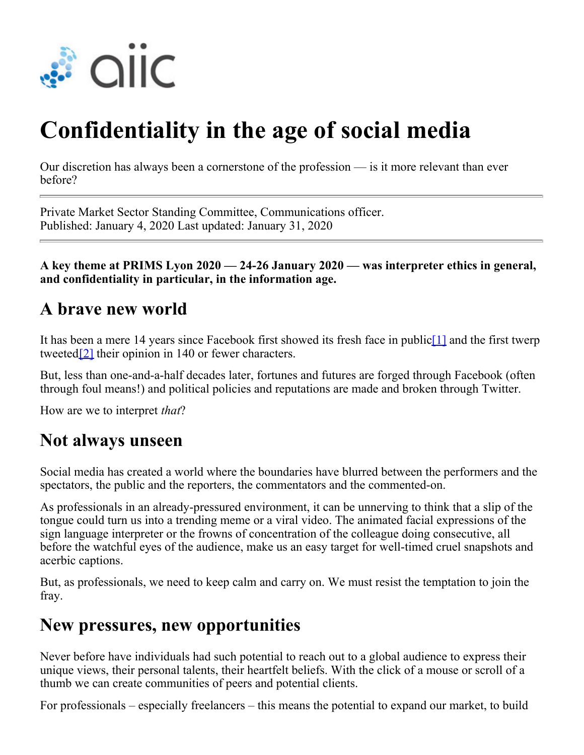

# **Confidentiality in the age of social media**

Our discretion has always been a cornerstone of the profession — is it more relevant than ever before?

Private Market Sector Standing Committee, Communications officer. Published: January 4, 2020 Last updated: January 31, 2020

**A key theme at PRIMS Lyon 2020 — 24-26 January 2020 — was interpreter ethics in general, and confidentiality in particular, in the information age.**

#### **A brave new world**

It has been a mere 14 years since Facebook first showed its fresh face in public[1] and the first twerp tweeted<sup>[2]</sup> their opinion in 140 or fewer characters.

But, less than one-and-a-half decades later, fortunes and futures are forged through Facebook (often through foul means!) and political policies and reputations are made and broken through Twitter.

How are we to interpret *that*?

#### **Not always unseen**

Social media has created a world where the boundaries have blurred between the performers and the spectators, the public and the reporters, the commentators and the commented-on.

As professionals in an already-pressured environment, it can be unnerving to think that a slip of the tongue could turn us into a trending meme or a viral video. The animated facial expressions of the sign language interpreter or the frowns of concentration of the colleague doing consecutive, all before the watchful eyes of the audience, make us an easy target for well-timed cruel snapshots and acerbic captions.

But, as professionals, we need to keep calm and carry on. We must resist the temptation to join the fray.

### **New pressures, new opportunities**

Never before have individuals had such potential to reach out to a global audience to express their unique views, their personal talents, their heartfelt beliefs. With the click of a mouse or scroll of a thumb we can create communities of peers and potential clients.

For professionals – especially freelancers – this means the potential to expand our market, to build